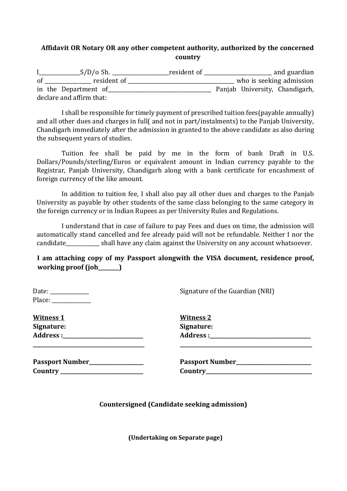## **Affidavit OR Notary OR any other competent authority, authorized by the concerned country**

|               | $S/D/O$ Sh.              | resident of |  | and guardian                   |
|---------------|--------------------------|-------------|--|--------------------------------|
| <sub>of</sub> | resident of              |             |  | who is seeking admission       |
|               | in the Department of     |             |  | Panjab University, Chandigarh, |
|               | declare and affirm that: |             |  |                                |

I shall be responsible for timely payment of prescribed tuition fees(payable annually) and all other dues and charges in full( and not in part/instalments) to the Panjab University, Chandigarh immediately after the admission in granted to the above candidate as also during the subsequent years of studies.

Tuition fee shall be paid by me in the form of bank Draft in U.S. Dollars/Pounds/sterling/Euros or equivalent amount in Indian currency payable to the Registrar, Panjab University, Chandigarh along with a bank certificate for encashment of foreign currency of the like amount.

In addition to tuition fee, I shall also pay all other dues and charges to the Panjab University as payable by other students of the same class belonging to the same category in the foreign currency or in Indian Rupees as per University Rules and Regulations.

I understand that in case of failure to pay Fees and dues on time, the admission will automatically stand cancelled and fee already paid will not be refundable. Neither I nor the candidate\_\_\_\_\_\_\_\_\_\_\_\_\_ shall have any claim against the University on any account whatsoever.

**I am attaching copy of my Passport alongwith the VISA document, residence proof, working proof (job\_\_\_\_\_\_\_\_)** 

| Place: $\frac{1}{2}$           | Signature of the Guardian (NRI) |
|--------------------------------|---------------------------------|
| <u>Witness 1</u>               | <b>Witness 2</b>                |
| Signature:                     | Signature:                      |
|                                |                                 |
| Passport Number_______________ |                                 |
|                                |                                 |

**Countersigned (Candidate seeking admission)** 

**(Undertaking on Separate page)**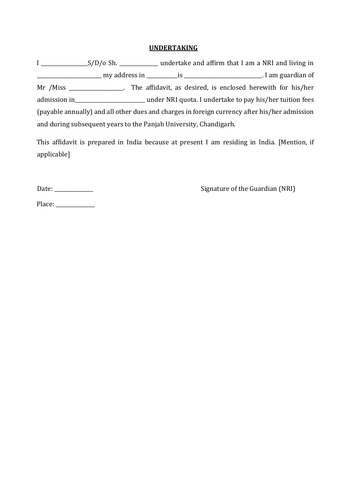## **UNDERTAKING**

I \_\_\_\_\_\_\_\_\_\_\_\_\_\_\_\_\_\_S/D/o Sh. \_\_\_\_\_\_\_\_\_\_\_\_\_\_\_ undertake and affirm that I am a NRI and living in \_\_\_\_\_\_\_\_\_\_\_\_\_\_\_\_\_\_\_\_\_\_\_\_\_ my address in \_\_\_\_\_\_\_\_\_\_\_\_is \_\_\_\_\_\_\_\_\_\_\_\_\_\_\_\_\_\_\_\_\_\_\_\_\_\_\_\_\_\_. I am guardian of Mr /Miss \_\_\_\_\_\_\_\_\_\_\_\_\_\_\_\_\_. The affidavit, as desired, is enclosed herewith for his/her admission in\_\_\_\_\_\_\_\_\_\_\_\_\_\_\_\_\_\_\_\_\_\_\_\_\_\_\_ under NRI quota. I undertake to pay his/her tuition fees (payable annually) and all other dues and charges in foreign currency after his/her admission and during subsequent years to the Panjab University, Chandigarh.

This affidavit is prepared in India because at present I am residing in India. [Mention, if applicable]

Date: \_\_\_\_\_\_\_\_\_\_\_\_\_\_\_ Signature of the Guardian (NRI)

Place: \_\_\_\_\_\_\_\_\_\_\_\_\_\_\_